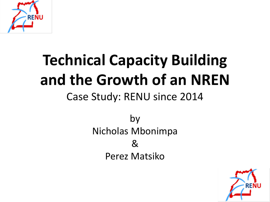

# **Technical Capacity Building and the Growth of an NREN**

#### Case Study: RENU since 2014

by Nicholas Mbonimpa & Perez Matsiko

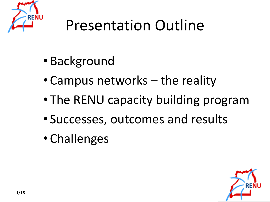

# Presentation Outline

- Background
- Campus networks the reality
- The RENU capacity building program
- Successes, outcomes and results
- Challenges

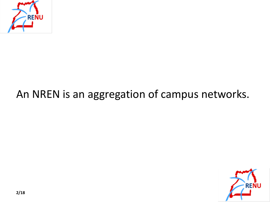

#### An NREN is an aggregation of campus networks.

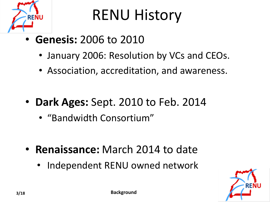

## RENU History

- **Genesis:** 2006 to 2010
	- January 2006: Resolution by VCs and CEOs.
	- Association, accreditation, and awareness.
- **Dark Ages:** Sept. 2010 to Feb. 2014
	- "Bandwidth Consortium"
- **Renaissance:** March 2014 to date
	- Independent RENU owned network

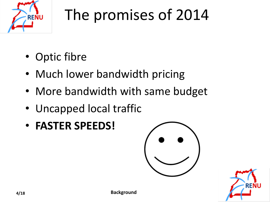

# The promises of 2014

- Optic fibre
- Much lower bandwidth pricing
- More bandwidth with same budget
- Uncapped local traffic
- **FASTER SPEEDS!**



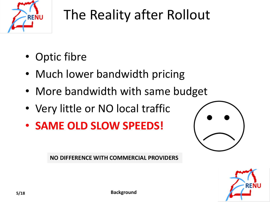

### The Reality after Rollout

- Optic fibre
- Much lower bandwidth pricing
- More bandwidth with same budget
- Very little or NO local traffic
- **SAME OLD SLOW SPEEDS!**



**NO DIFFERENCE WITH COMMERCIAL PROVIDERS**

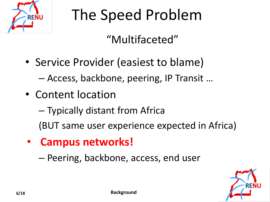

# The Speed Problem

#### "Multifaceted"

- Service Provider (easiest to blame) – Access, backbone, peering, IP Transit …
- Content location

– Typically distant from Africa (BUT same user experience expected in Africa)

• **Campus networks!**

– Peering, backbone, access, end user

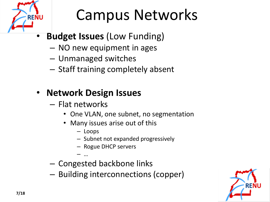

## Campus Networks

- **Budget Issues** (Low Funding)
	- NO new equipment in ages
	- Unmanaged switches
	- Staff training completely absent

#### • **Network Design Issues**

- Flat networks
	- One VLAN, one subnet, no segmentation
	- Many issues arise out of this
		- Loops
		- Subnet not expanded progressively
		- Rogue DHCP servers
		- …
- Congested backbone links
- Building interconnections (copper)

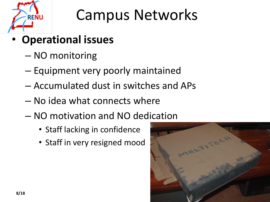

## Campus Networks

- **Operational issues**
	- NO monitoring
	- Equipment very poorly maintained
	- Accumulated dust in switches and APs
	- No idea what connects where
	- NO motivation and NO dedication
		- Staff lacking in confidence
		- Staff in very resigned mood

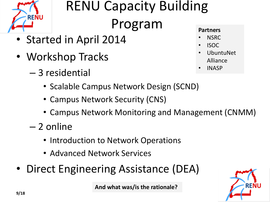

### RENU Capacity Building Program

- Started in April 2014
- Workshop Tracks
	- 3 residential
		- Scalable Campus Network Design (SCND)
		- Campus Network Security (CNS)
		- Campus Network Monitoring and Management (CNMM)
	- 2 online
		- Introduction to Network Operations
		- Advanced Network Services
- Direct Engineering Assistance (DEA)

**And what was/is the rationale?**

#### **Partners**

- NSRC
- ISOC
- UbuntuNet Alliance
- INASP

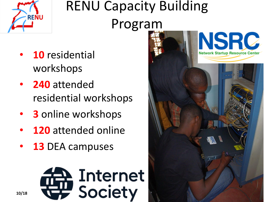

## RENU Capacity Building Program

- **10** residential workshops
- **240** attended residential workshops
- **3** online workshops
- **120** attended online
- 13 DEA campuses



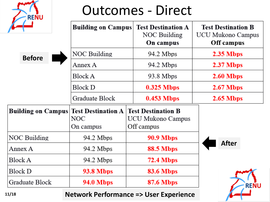| <b>Outcomes - Direct</b><br><b>RENU</b> |                                               |                                                              |                                                              |  |
|-----------------------------------------|-----------------------------------------------|--------------------------------------------------------------|--------------------------------------------------------------|--|
|                                         | <b>Building on Campus</b>                     | <b>Test Destination A</b><br>NOC Building<br>On campus       | <b>Test Destination B</b><br>UCU Mukono Campus<br>Off campus |  |
| <b>Before</b>                           | NOC Building                                  | 94.2 Mbps                                                    | $2.35$ Mbps                                                  |  |
|                                         | Annex A                                       | 94.2 Mbps                                                    | 2.37 Mbps                                                    |  |
|                                         | <b>Block A</b>                                | 93.8 Mbps                                                    | 2.60 Mbps                                                    |  |
|                                         | <b>Block D</b>                                | $0.325$ Mbps                                                 | $2.67$ Mbps                                                  |  |
|                                         | Graduate Block                                | $0.453$ Mbps                                                 | $2.65$ Mbps                                                  |  |
| <b>Building on Campus</b>               | <b>Test Destination A</b><br>NOC<br>On campus | <b>Test Destination B</b><br>UCU Mukono Campus<br>Off campus |                                                              |  |
| NOC Building                            | 94.2 Mbps                                     | <b>90.9 Mbps</b>                                             |                                                              |  |
| Annex A                                 | 94.2 Mbps                                     | <b>88.5 Mbps</b>                                             | <b>After</b>                                                 |  |
| <b>Block A</b>                          | 94.2 Mbps                                     | <b>72.4 Mbps</b>                                             |                                                              |  |
| <b>Block D</b>                          | <b>93.8 Mbps</b>                              | <b>83.6 Mbps</b>                                             |                                                              |  |
| Graduate Block                          | <b>94.0 Mbps</b>                              | <b>87.6 Mbps</b>                                             |                                                              |  |

#### **Network Performance => User Experience**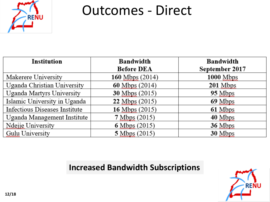

### Outcomes - Direct

| <b>Institution</b>            | <b>Bandwidth</b><br><b>Before DEA</b> | <b>Bandwidth</b><br>September 2017 |
|-------------------------------|---------------------------------------|------------------------------------|
| Makerere University           | $160$ Mbps $(2014)$                   | $1000$ Mbps                        |
| Uganda Christian University   | $60$ Mbps $(2014)$                    | $201$ Mbps                         |
| Uganda Martyrs University     | <b>30 Mbps</b> (2015)                 | 95 Mbps                            |
| Islamic University in Uganda  | 22 Mbps (2015)                        | 69 Mbps                            |
| Infectious Diseases Institute | 16 Mbps (2015)                        | 61 Mbps                            |
| Uganda Management Institute   | 7 Mbps (2015)                         | 40 Mbps                            |
| Ndejje University             | 6 Mbps $(2015)$                       | 36 Mbps                            |
| <b>Gulu University</b>        | 5 Mbps (2015)                         | 30 Mbps                            |

#### **Increased Bandwidth Subscriptions**

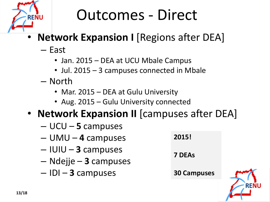

# Outcomes - Direct

- **Network Expansion I** [Regions after DEA]
	- East
		- Jan. 2015 DEA at UCU Mbale Campus
		- Jul. 2015 3 campuses connected in Mbale
	- North
		- Mar. 2015 DEA at Gulu University
		- Aug. 2015 Gulu University connected
- **Network Expansion II** [campuses after DEA]
	- UCU **5** campuses
	- UMU **4** campuses
	- IUIU **3** campuses
	- Ndejje **3** campuses
	- IDI **3** campuses

**2015! 7 DEAs 30 Campuses**

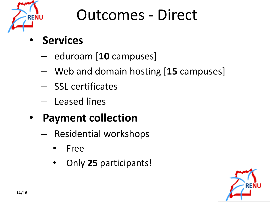

## Outcomes - Direct

- **Services**
	- eduroam [**10** campuses]
	- Web and domain hosting [**15** campuses]
	- SSL certificates
	- Leased lines
- **Payment collection**
	- Residential workshops
		- Free
		- Only **25** participants!

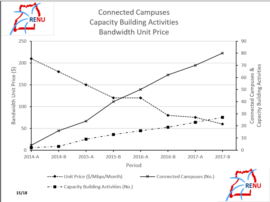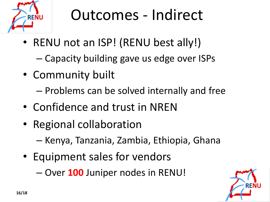

# Outcomes - Indirect

- RENU not an ISP! (RENU best ally!)
	- Capacity building gave us edge over ISPs
- Community built
	- Problems can be solved internally and free
- Confidence and trust in NREN
- Regional collaboration
	- Kenya, Tanzania, Zambia, Ethiopia, Ghana
- Equipment sales for vendors

– Over **100** Juniper nodes in RENU!

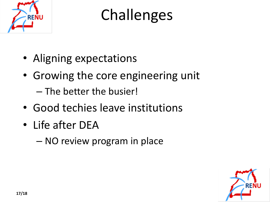

Challenges

- Aligning expectations
- Growing the core engineering unit
	- The better the busier!
- Good techies leave institutions
- Life after DEA
	- NO review program in place

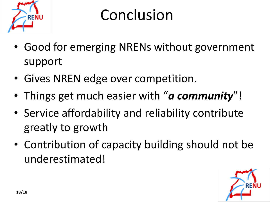

## Conclusion

- Good for emerging NRENs without government support
- Gives NREN edge over competition.
- Things get much easier with "*a community*"!
- Service affordability and reliability contribute greatly to growth
- Contribution of capacity building should not be underestimated!